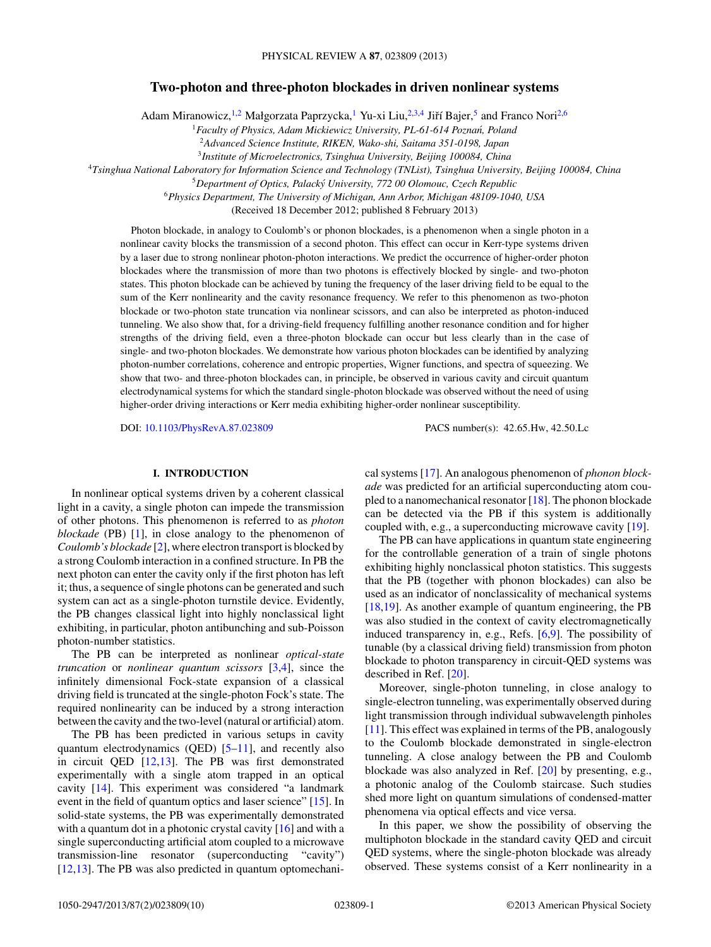# **Two-photon and three-photon blockades in driven nonlinear systems**

Adam Miranowicz,<sup>1,2</sup> Małgorzata Paprzycka,<sup>1</sup> Yu-xi Liu,<sup>2,3,4</sup> Jiří Bajer,<sup>5</sup> and Franco Nori<sup>2,6</sup>

<sup>1</sup>*Faculty of Physics, Adam Mickiewicz University, PL-61-614 Poznan, Poland ´*

<sup>2</sup>*Advanced Science Institute, RIKEN, Wako-shi, Saitama 351-0198, Japan*

<sup>3</sup>*Institute of Microelectronics, Tsinghua University, Beijing 100084, China*

<sup>4</sup>*Tsinghua National Laboratory for Information Science and Technology (TNList), Tsinghua University, Beijing 100084, China*

<sup>6</sup>*Physics Department, The University of Michigan, Ann Arbor, Michigan 48109-1040, USA*

(Received 18 December 2012; published 8 February 2013)

Photon blockade, in analogy to Coulomb's or phonon blockades, is a phenomenon when a single photon in a nonlinear cavity blocks the transmission of a second photon. This effect can occur in Kerr-type systems driven by a laser due to strong nonlinear photon-photon interactions. We predict the occurrence of higher-order photon blockades where the transmission of more than two photons is effectively blocked by single- and two-photon states. This photon blockade can be achieved by tuning the frequency of the laser driving field to be equal to the sum of the Kerr nonlinearity and the cavity resonance frequency. We refer to this phenomenon as two-photon blockade or two-photon state truncation via nonlinear scissors, and can also be interpreted as photon-induced tunneling. We also show that, for a driving-field frequency fulfilling another resonance condition and for higher strengths of the driving field, even a three-photon blockade can occur but less clearly than in the case of single- and two-photon blockades. We demonstrate how various photon blockades can be identified by analyzing photon-number correlations, coherence and entropic properties, Wigner functions, and spectra of squeezing. We show that two- and three-photon blockades can, in principle, be observed in various cavity and circuit quantum electrodynamical systems for which the standard single-photon blockade was observed without the need of using higher-order driving interactions or Kerr media exhibiting higher-order nonlinear susceptibility.

DOI: [10.1103/PhysRevA.87.023809](http://dx.doi.org/10.1103/PhysRevA.87.023809) PACS number(s): 42*.*65*.*Hw, 42*.*50*.*Lc

# **I. INTRODUCTION**

In nonlinear optical systems driven by a coherent classical light in a cavity, a single photon can impede the transmission of other photons. This phenomenon is referred to as *photon blockade* (PB) [\[1\]](#page-8-0), in close analogy to the phenomenon of *Coulomb's blockade* [\[2\]](#page-8-0), where electron transport is blocked by a strong Coulomb interaction in a confined structure. In PB the next photon can enter the cavity only if the first photon has left it; thus, a sequence of single photons can be generated and such system can act as a single-photon turnstile device. Evidently, the PB changes classical light into highly nonclassical light exhibiting, in particular, photon antibunching and sub-Poisson photon-number statistics.

The PB can be interpreted as nonlinear *optical-state truncation* or *nonlinear quantum scissors* [\[3,](#page-8-0)[4\]](#page-9-0), since the infinitely dimensional Fock-state expansion of a classical driving field is truncated at the single-photon Fock's state. The required nonlinearity can be induced by a strong interaction between the cavity and the two-level (natural or artificial) atom.

The PB has been predicted in various setups in cavity quantum electrodynamics (QED)  $[5-11]$ , and recently also in circuit QED [\[12,13\]](#page-9-0). The PB was first demonstrated experimentally with a single atom trapped in an optical cavity [\[14\]](#page-9-0). This experiment was considered "a landmark event in the field of quantum optics and laser science" [\[15\]](#page-9-0). In solid-state systems, the PB was experimentally demonstrated with a quantum dot in a photonic crystal cavity [\[16\]](#page-9-0) and with a single superconducting artificial atom coupled to a microwave transmission-line resonator (superconducting "cavity") [\[12,13\]](#page-9-0). The PB was also predicted in quantum optomechanical systems [\[17\]](#page-9-0). An analogous phenomenon of *phonon blockade* was predicted for an artificial superconducting atom coupled to a nanomechanical resonator [\[18\]](#page-9-0). The phonon blockade can be detected via the PB if this system is additionally coupled with, e.g., a superconducting microwave cavity [\[19\]](#page-9-0).

The PB can have applications in quantum state engineering for the controllable generation of a train of single photons exhibiting highly nonclassical photon statistics. This suggests that the PB (together with phonon blockades) can also be used as an indicator of nonclassicality of mechanical systems [\[18,19\]](#page-9-0). As another example of quantum engineering, the PB was also studied in the context of cavity electromagnetically induced transparency in, e.g., Refs. [\[6,9\]](#page-9-0). The possibility of tunable (by a classical driving field) transmission from photon blockade to photon transparency in circuit-QED systems was described in Ref. [\[20\]](#page-9-0).

Moreover, single-photon tunneling, in close analogy to single-electron tunneling, was experimentally observed during light transmission through individual subwavelength pinholes [\[11\]](#page-9-0). This effect was explained in terms of the PB, analogously to the Coulomb blockade demonstrated in single-electron tunneling. A close analogy between the PB and Coulomb blockade was also analyzed in Ref. [\[20\]](#page-9-0) by presenting, e.g., a photonic analog of the Coulomb staircase. Such studies shed more light on quantum simulations of condensed-matter phenomena via optical effects and vice versa.

In this paper, we show the possibility of observing the multiphoton blockade in the standard cavity QED and circuit QED systems, where the single-photon blockade was already observed. These systems consist of a Kerr nonlinearity in a

<sup>5</sup>*Department of Optics, Palacky University, 772 00 Olomouc, Czech Republic ´*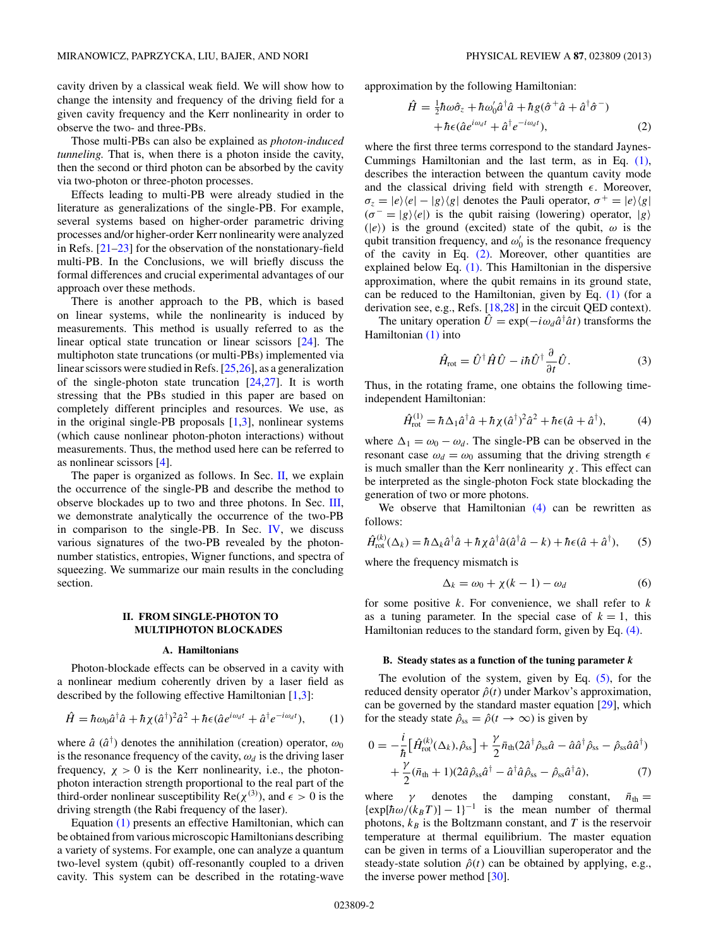<span id="page-1-0"></span>cavity driven by a classical weak field. We will show how to change the intensity and frequency of the driving field for a given cavity frequency and the Kerr nonlinearity in order to observe the two- and three-PBs.

Those multi-PBs can also be explained as *photon-induced tunneling.* That is, when there is a photon inside the cavity, then the second or third photon can be absorbed by the cavity via two-photon or three-photon processes.

Effects leading to multi-PB were already studied in the literature as generalizations of the single-PB. For example, several systems based on higher-order parametric driving processes and/or higher-order Kerr nonlinearity were analyzed in Refs. [\[21–23\]](#page-9-0) for the observation of the nonstationary-field multi-PB. In the Conclusions, we will briefly discuss the formal differences and crucial experimental advantages of our approach over these methods.

There is another approach to the PB, which is based on linear systems, while the nonlinearity is induced by measurements. This method is usually referred to as the linear optical state truncation or linear scissors [\[24\]](#page-9-0). The multiphoton state truncations (or multi-PBs) implemented via linear scissors were studied in Refs. [\[25,26\]](#page-9-0), as a generalization of the single-photon state truncation  $[24,27]$ . It is worth stressing that the PBs studied in this paper are based on completely different principles and resources. We use, as in the original single-PB proposals  $[1,3]$ , nonlinear systems (which cause nonlinear photon-photon interactions) without measurements. Thus, the method used here can be referred to as nonlinear scissors [\[4\]](#page-9-0).

The paper is organized as follows. In Sec. II, we explain the occurrence of the single-PB and describe the method to observe blockades up to two and three photons. In Sec. [III,](#page-3-0) we demonstrate analytically the occurrence of the two-PB in comparison to the single-PB. In Sec. [IV,](#page-5-0) we discuss various signatures of the two-PB revealed by the photonnumber statistics, entropies, Wigner functions, and spectra of squeezing. We summarize our main results in the concluding section.

# **II. FROM SINGLE-PHOTON TO MULTIPHOTON BLOCKADES**

# **A. Hamiltonians**

Photon-blockade effects can be observed in a cavity with a nonlinear medium coherently driven by a laser field as described by the following effective Hamiltonian [\[1,3\]](#page-8-0):

$$
\hat{H} = \hbar \omega_0 \hat{a}^\dagger \hat{a} + \hbar \chi (\hat{a}^\dagger)^2 \hat{a}^2 + \hbar \epsilon (\hat{a} e^{i\omega_d t} + \hat{a}^\dagger e^{-i\omega_d t}), \qquad (1)
$$

where  $\hat{a}$  ( $\hat{a}^{\dagger}$ ) denotes the annihilation (creation) operator,  $\omega_0$ is the resonance frequency of the cavity,  $\omega_d$  is the driving laser frequency,  $\chi > 0$  is the Kerr nonlinearity, i.e., the photonphoton interaction strength proportional to the real part of the third-order nonlinear susceptibility  $\text{Re}(\chi^{(3)})$ , and  $\epsilon > 0$  is the driving strength (the Rabi frequency of the laser).

Equation (1) presents an effective Hamiltonian, which can be obtained from various microscopic Hamiltonians describing a variety of systems. For example, one can analyze a quantum two-level system (qubit) off-resonantly coupled to a driven cavity. This system can be described in the rotating-wave approximation by the following Hamiltonian:

$$
\hat{H} = \frac{1}{2}\hbar\omega\hat{\sigma}_z + \hbar\omega_0'\hat{a}^\dagger\hat{a} + \hbar g(\hat{\sigma}^+\hat{a} + \hat{a}^\dagger\hat{\sigma}^-) \n+ \hbar\epsilon(\hat{a}e^{i\omega_d t} + \hat{a}^\dagger e^{-i\omega_d t}),
$$
\n(2)

where the first three terms correspond to the standard Jaynes-Cummings Hamiltonian and the last term, as in Eq. (1), describes the interaction between the quantum cavity mode and the classical driving field with strength  $\epsilon$ . Moreover,  $\sigma_z = |e\rangle\langle e| - |g\rangle\langle g|$  denotes the Pauli operator,  $\sigma^+ = |e\rangle\langle g|$  $(\sigma^- = |g\rangle\langle e|)$  is the qubit raising (lowering) operator,  $|g\rangle$  $(|e\rangle)$  is the ground (excited) state of the qubit,  $\omega$  is the qubit transition frequency, and  $\omega'_0$  is the resonance frequency of the cavity in Eq. (2). Moreover, other quantities are explained below Eq. (1). This Hamiltonian in the dispersive approximation, where the qubit remains in its ground state, can be reduced to the Hamiltonian, given by Eq. (1) (for a derivation see, e.g., Refs. [\[18,28\]](#page-9-0) in the circuit QED context).

The unitary operation  $\hat{U} = \exp(-i\omega_d \hat{a}^\dagger \hat{a} t)$  transforms the Hamiltonian (1) into

$$
\hat{H}_{\text{rot}} = \hat{U}^{\dagger} \hat{H} \hat{U} - i\hbar \hat{U}^{\dagger} \frac{\partial}{\partial t} \hat{U}.
$$
 (3)

Thus, in the rotating frame, one obtains the following timeindependent Hamiltonian:

$$
\hat{H}_{\text{rot}}^{(1)} = \hbar \Delta_1 \hat{a}^\dagger \hat{a} + \hbar \chi (\hat{a}^\dagger)^2 \hat{a}^2 + \hbar \epsilon (\hat{a} + \hat{a}^\dagger), \tag{4}
$$

where  $\Delta_1 = \omega_0 - \omega_d$ . The single-PB can be observed in the resonant case  $\omega_d = \omega_0$  assuming that the driving strength  $\epsilon$ is much smaller than the Kerr nonlinearity *χ*. This effect can be interpreted as the single-photon Fock state blockading the generation of two or more photons.

We observe that Hamiltonian (4) can be rewritten as follows:

$$
\hat{H}_{\text{rot}}^{(k)}(\Delta_k) = \hbar \Delta_k \hat{a}^\dagger \hat{a} + \hbar \chi \hat{a}^\dagger \hat{a} (\hat{a}^\dagger \hat{a} - k) + \hbar \epsilon (\hat{a} + \hat{a}^\dagger), \quad (5)
$$

where the frequency mismatch is

$$
\Delta_k = \omega_0 + \chi(k-1) - \omega_d \tag{6}
$$

for some positive *k*. For convenience, we shall refer to *k* as a tuning parameter. In the special case of  $k = 1$ , this Hamiltonian reduces to the standard form, given by Eq. (4).

# **B. Steady states as a function of the tuning parameter** *k*

The evolution of the system, given by Eq.  $(5)$ , for the reduced density operator  $\hat{\rho}(t)$  under Markov's approximation, can be governed by the standard master equation [\[29\]](#page-9-0), which for the steady state  $\hat{\rho}_{ss} = \hat{\rho}(t \to \infty)$  is given by

$$
0 = -\frac{i}{\hbar} \Big[ \hat{H}_{\text{rot}}^{(k)}(\Delta_k), \hat{\rho}_{\text{ss}} \Big] + \frac{\gamma}{2} \bar{n}_{\text{th}} (2\hat{a}^\dagger \hat{\rho}_{\text{ss}} \hat{a} - \hat{a} \hat{a}^\dagger \hat{\rho}_{\text{ss}} - \hat{\rho}_{\text{ss}} \hat{a} \hat{a}^\dagger) + \frac{\gamma}{2} (\bar{n}_{\text{th}} + 1)(2\hat{a} \hat{\rho}_{\text{ss}} \hat{a}^\dagger - \hat{a}^\dagger \hat{a} \hat{\rho}_{\text{ss}} - \hat{\rho}_{\text{ss}} \hat{a}^\dagger \hat{a}), \tag{7}
$$

where  $\gamma$  denotes the damping constant,  $\bar{n}_{\text{th}} =$  $\{\exp[\hbar\omega/(k_BT)] - 1\}^{-1}$  is the mean number of thermal photons,  $k_B$  is the Boltzmann constant, and  $T$  is the reservoir temperature at thermal equilibrium. The master equation can be given in terms of a Liouvillian superoperator and the steady-state solution  $\hat{\rho}(t)$  can be obtained by applying, e.g., the inverse power method [\[30\]](#page-9-0).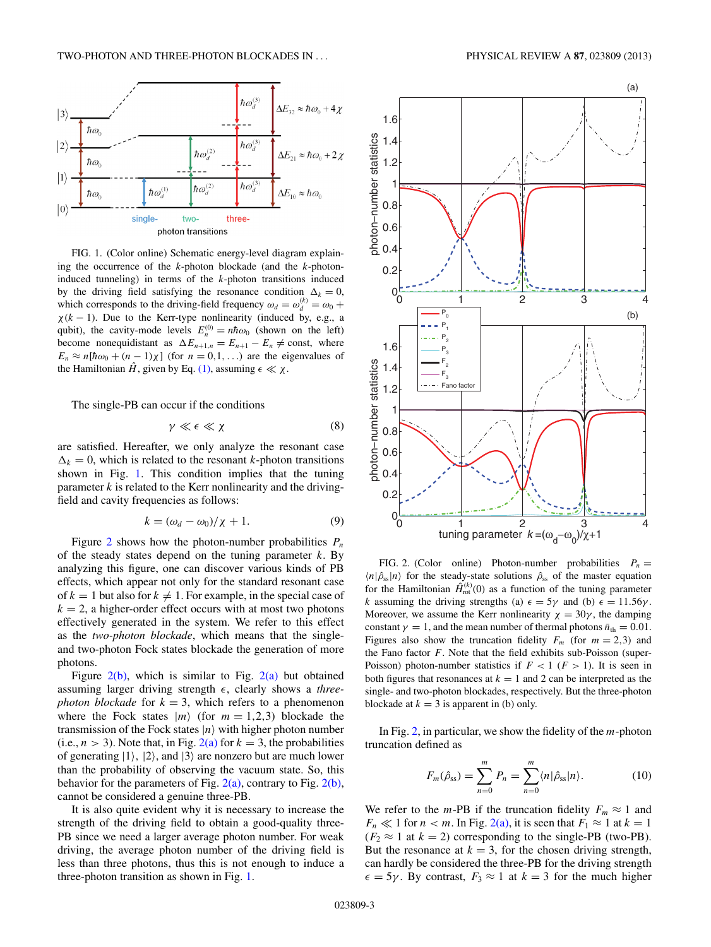<span id="page-2-0"></span>

FIG. 1. (Color online) Schematic energy-level diagram explaining the occurrence of the *k*-photon blockade (and the *k*-photoninduced tunneling) in terms of the *k*-photon transitions induced by the driving field satisfying the resonance condition  $\Delta_k = 0$ , which corresponds to the driving-field frequency  $\omega_d = \omega_d^{(k)} = \omega_0 + \omega_d^{(k)}$  $\chi$ ( $k$  − 1). Due to the Kerr-type nonlinearity (induced by, e.g., a qubit), the cavity-mode levels  $E_n^{(0)} = n\hbar\omega_0$  (shown on the left) become nonequidistant as  $\Delta E_{n+1,n} = E_{n+1} - E_n \neq \text{const}$ , where  $E_n \approx n[\hbar\omega_0 + (n-1)\chi]$  (for  $n = 0,1,...$ ) are the eigenvalues of the Hamiltonian  $\hat{H}$ , given by Eq. [\(1\),](#page-1-0) assuming  $\epsilon \ll \chi$ .

The single-PB can occur if the conditions

$$
\gamma \ll \epsilon \ll \chi \tag{8}
$$

are satisfied. Hereafter, we only analyze the resonant case  $\Delta_k = 0$ , which is related to the resonant *k*-photon transitions shown in Fig. 1. This condition implies that the tuning parameter *k* is related to the Kerr nonlinearity and the drivingfield and cavity frequencies as follows:

$$
k = (\omega_d - \omega_0)/\chi + 1. \tag{9}
$$

Figure 2 shows how the photon-number probabilities  $P_n$ of the steady states depend on the tuning parameter *k*. By analyzing this figure, one can discover various kinds of PB effects, which appear not only for the standard resonant case of  $k = 1$  but also for  $k \neq 1$ . For example, in the special case of  $k = 2$ , a higher-order effect occurs with at most two photons effectively generated in the system. We refer to this effect as the *two-photon blockade*, which means that the singleand two-photon Fock states blockade the generation of more photons.

Figure  $2(b)$ , which is similar to Fig.  $2(a)$  but obtained assuming larger driving strength  $\epsilon$ , clearly shows a *threephoton blockade* for  $k = 3$ , which refers to a phenomenon where the Fock states  $|m\rangle$  (for  $m = 1,2,3$ ) blockade the transmission of the Fock states  $|n\rangle$  with higher photon number (i.e.,  $n > 3$ ). Note that, in Fig. 2(a) for  $k = 3$ , the probabilities of generating  $|1\rangle$ ,  $|2\rangle$ , and  $|3\rangle$  are nonzero but are much lower than the probability of observing the vacuum state. So, this behavior for the parameters of Fig.  $2(a)$ , contrary to Fig.  $2(b)$ , cannot be considered a genuine three-PB.

It is also quite evident why it is necessary to increase the strength of the driving field to obtain a good-quality three-PB since we need a larger average photon number. For weak driving, the average photon number of the driving field is less than three photons, thus this is not enough to induce a three-photon transition as shown in Fig. 1.



FIG. 2. (Color online) Photon-number probabilities  $P_n =$  $\langle n|\hat{\rho}_{ss}|n\rangle$  for the steady-state solutions  $\hat{\rho}_{ss}$  of the master equation for the Hamiltonian  $\hat{H}^{(k)}_{\text{rot}}(0)$  as a function of the tuning parameter *k* assuming the driving strengths (a)  $\epsilon = 5\gamma$  and (b)  $\epsilon = 11.56\gamma$ . Moreover, we assume the Kerr nonlinearity  $\chi = 30\gamma$ , the damping constant  $\gamma = 1$ , and the mean number of thermal photons  $\bar{n}_{\text{th}} = 0.01$ . Figures also show the truncation fidelity  $F_m$  (for  $m = 2,3$ ) and the Fano factor *F*. Note that the field exhibits sub-Poisson (super-Poisson) photon-number statistics if  $F < 1$  ( $F > 1$ ). It is seen in both figures that resonances at  $k = 1$  and 2 can be interpreted as the single- and two-photon blockades, respectively. But the three-photon blockade at  $k = 3$  is apparent in (b) only.

In Fig. 2, in particular, we show the fidelity of the *m*-photon truncation defined as

$$
F_m(\hat{\rho}_{ss}) = \sum_{n=0}^m P_n = \sum_{n=0}^m \langle n | \hat{\rho}_{ss} | n \rangle.
$$
 (10)

We refer to the *m*-PB if the truncation fidelity  $F_m \approx 1$  and  $F_n \ll 1$  for  $n < m$ . In Fig. 2(a), it is seen that  $F_1 \approx 1$  at  $k = 1$  $(F_2 \approx 1$  at  $k = 2)$  corresponding to the single-PB (two-PB). But the resonance at  $k = 3$ , for the chosen driving strength, can hardly be considered the three-PB for the driving strength  $\epsilon = 5\gamma$ . By contrast,  $F_3 \approx 1$  at  $k = 3$  for the much higher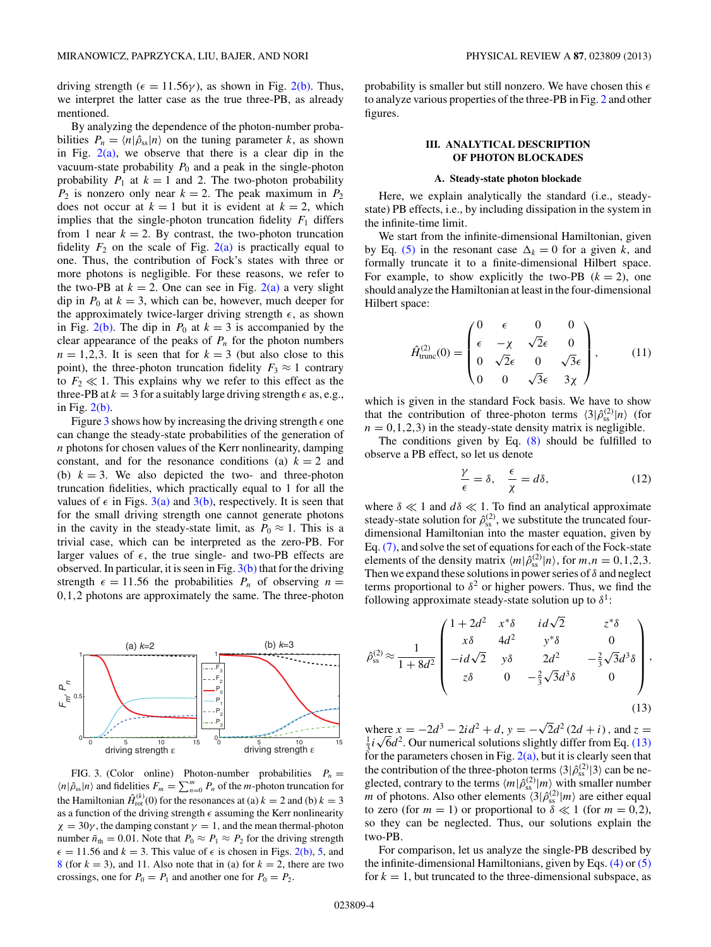<span id="page-3-0"></span>driving strength ( $\epsilon = 11.56\gamma$ ), as shown in Fig. [2\(b\).](#page-2-0) Thus, we interpret the latter case as the true three-PB, as already mentioned.

By analyzing the dependence of the photon-number probabilities  $P_n = \langle n | \hat{\rho}_{ss} | n \rangle$  on the tuning parameter *k*, as shown in Fig.  $2(a)$ , we observe that there is a clear dip in the vacuum-state probability  $P_0$  and a peak in the single-photon probability  $P_1$  at  $k = 1$  and 2. The two-photon probability  $P_2$  is nonzero only near  $k = 2$ . The peak maximum in  $P_2$ does not occur at  $k = 1$  but it is evident at  $k = 2$ , which implies that the single-photon truncation fidelity  $F_1$  differs from 1 near  $k = 2$ . By contrast, the two-photon truncation fidelity  $F_2$  on the scale of Fig.  $2(a)$  is practically equal to one. Thus, the contribution of Fock's states with three or more photons is negligible. For these reasons, we refer to the two-PB at  $k = 2$ . One can see in Fig.  $2(a)$  a very slight dip in  $P_0$  at  $k = 3$ , which can be, however, much deeper for the approximately twice-larger driving strength  $\epsilon$ , as shown in Fig. [2\(b\).](#page-2-0) The dip in  $P_0$  at  $k = 3$  is accompanied by the clear appearance of the peaks of  $P_n$  for the photon numbers  $n = 1, 2, 3$ . It is seen that for  $k = 3$  (but also close to this point), the three-photon truncation fidelity  $F_3 \approx 1$  contrary to  $F_2 \ll 1$ . This explains why we refer to this effect as the three-PB at  $k = 3$  for a suitably large driving strength  $\epsilon$  as, e.g., in Fig. [2\(b\).](#page-2-0)

Figure 3 shows how by increasing the driving strength  $\epsilon$  one can change the steady-state probabilities of the generation of *n* photons for chosen values of the Kerr nonlinearity, damping constant, and for the resonance conditions (a)  $k = 2$  and (b)  $k = 3$ . We also depicted the two- and three-photon truncation fidelities, which practically equal to 1 for all the values of  $\epsilon$  in Figs. 3(a) and 3(b), respectively. It is seen that for the small driving strength one cannot generate photons in the cavity in the steady-state limit, as  $P_0 \approx 1$ . This is a trivial case, which can be interpreted as the zero-PB. For larger values of  $\epsilon$ , the true single- and two-PB effects are observed. In particular, it is seen in Fig.  $3(b)$  that for the driving strength  $\epsilon = 11.56$  the probabilities  $P_n$  of observing  $n =$ 0*,*1*,*2 photons are approximately the same. The three-photon



FIG. 3. (Color online) Photon-number probabilities  $P_n =$  $\langle n|\hat{\rho}_{ss}|n\rangle$  and fidelities  $F_m = \sum_{n=0}^m P_n$  of the *m*-photon truncation for the Hamiltonian  $\hat{H}_{\text{rot}}^{(k)}(0)$  for the resonances at (a)  $k = 2$  and (b)  $k = 3$ as a function of the driving strength  $\epsilon$  assuming the Kerr nonlinearity  $\chi = 30\gamma$ , the damping constant  $\gamma = 1$ , and the mean thermal-photon number  $\bar{n}_{\text{th}} = 0.01$ . Note that  $P_0 \approx P_1 \approx P_2$  for the driving strength  $\epsilon = 11.56$  and  $k = 3$ . This value of  $\epsilon$  is chosen in Figs. [2\(b\),](#page-2-0) [5,](#page-4-0) and [8](#page-7-0) (for  $k = 3$ ), and 11. Also note that in (a) for  $k = 2$ , there are two crossings, one for  $P_0 = P_1$  and another one for  $P_0 = P_2$ .

probability is smaller but still nonzero. We have chosen this  $\epsilon$ to analyze various properties of the three-PB in Fig. [2](#page-2-0) and other figures.

# **III. ANALYTICAL DESCRIPTION OF PHOTON BLOCKADES**

### **A. Steady-state photon blockade**

Here, we explain analytically the standard (i.e., steadystate) PB effects, i.e., by including dissipation in the system in the infinite-time limit.

We start from the infinite-dimensional Hamiltonian, given by Eq. [\(5\)](#page-1-0) in the resonant case  $\Delta_k = 0$  for a given *k*, and formally truncate it to a finite-dimensional Hilbert space. For example, to show explicitly the two-PB  $(k = 2)$ , one should analyze the Hamiltonian at least in the four-dimensional Hilbert space:

$$
\hat{H}_{\text{trunc}}^{(2)}(0) = \begin{pmatrix} 0 & \epsilon & 0 & 0 \\ \epsilon & -\chi & \sqrt{2}\epsilon & 0 \\ 0 & \sqrt{2}\epsilon & 0 & \sqrt{3}\epsilon \\ 0 & 0 & \sqrt{3}\epsilon & 3\chi \end{pmatrix}, \quad (11)
$$

which is given in the standard Fock basis. We have to show that the contribution of three-photon terms  $\langle 3|\hat{\rho}_{ss}^{(2)}|n\rangle$  (for  $n = 0, 1, 2, 3$  in the steady-state density matrix is negligible.

The conditions given by Eq.  $(8)$  should be fulfilled to observe a PB effect, so let us denote

$$
\frac{\gamma}{\epsilon} = \delta, \quad \frac{\epsilon}{\chi} = d\delta,\tag{12}
$$

where  $\delta \ll 1$  and  $d\delta \ll 1$ . To find an analytical approximate steady-state solution for  $\hat{\rho}_{ss}^{(2)}$ , we substitute the truncated fourdimensional Hamiltonian into the master equation, given by Eq. [\(7\),](#page-1-0) and solve the set of equations for each of the Fock-state elements of the density matrix  $\langle m|\hat{\rho}_{ss}^{(2)}|n\rangle$ , for  $m,n = 0,1,2,3$ . Then we expand these solutions in power series of *δ* and neglect terms proportional to  $\delta^2$  or higher powers. Thus, we find the following approximate steady-state solution up to  $\delta^1$ :

$$
\hat{\rho}_{ss}^{(2)} \approx \frac{1}{1 + 8d^2} \begin{pmatrix} 1 + 2d^2 & x^* \delta & id\sqrt{2} & z^* \delta \\ x\delta & 4d^2 & y^* \delta & 0 \\ -id\sqrt{2} & y\delta & 2d^2 & -\frac{2}{3}\sqrt{3}d^3 \delta \\ z\delta & 0 & -\frac{2}{3}\sqrt{3}d^3 \delta & 0 \end{pmatrix},
$$
\n(13)

where  $x = -2d^3 - 2id^2 + d$ ,  $y = -\sqrt{2}d^2(2d + i)$ , and  $z =$ where  $x = -2a^3 - 21a^2 + a$ ,  $y = -\sqrt{2a^2 (2a + 1)}$ , and  $z = \frac{1}{3}i\sqrt{6}a^2$ . Our numerical solutions slightly differ from Eq. (13) for the parameters chosen in Fig.  $2(a)$ , but it is clearly seen that the contribution of the three-photon terms  $\langle 3|\hat{\rho}_{ss}^{(2)}|3\rangle$  can be neglected, contrary to the terms  $\langle m|\hat{\rho}_{\rm ss}^{(2)}|m\rangle$  with smaller number *m* of photons. Also other elements  $\langle 3 | \hat{\rho}_{ss}^{(2)} | m \rangle$  are either equal to zero (for  $m = 1$ ) or proportional to  $\delta \ll 1$  (for  $m = 0, 2$ ), so they can be neglected. Thus, our solutions explain the two-PB.

For comparison, let us analyze the single-PB described by the infinite-dimensional Hamiltonians, given by Eqs. [\(4\)](#page-1-0) or [\(5\)](#page-1-0) for  $k = 1$ , but truncated to the three-dimensional subspace, as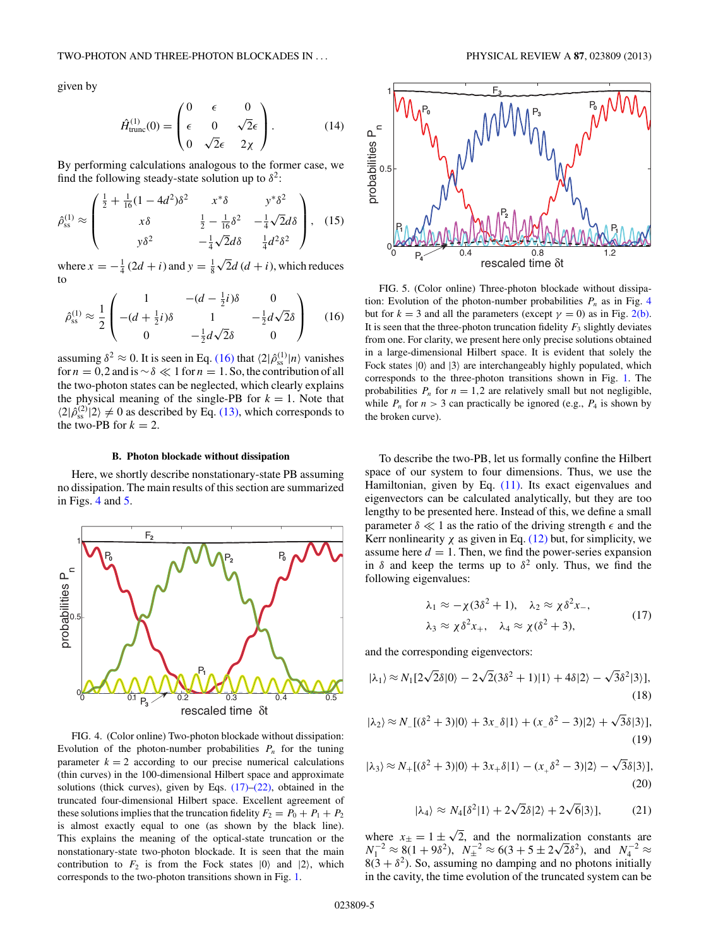<span id="page-4-0"></span>given by

$$
\hat{H}_{\text{trunc}}^{(1)}(0) = \begin{pmatrix} 0 & \epsilon & 0 \\ \epsilon & 0 & \sqrt{2}\epsilon \\ 0 & \sqrt{2}\epsilon & 2\chi \end{pmatrix}.
$$
 (14)

By performing calculations analogous to the former case, we find the following steady-state solution up to  $\delta^2$ :

$$
\hat{\rho}_{ss}^{(1)} \approx \begin{pmatrix} \frac{1}{2} + \frac{1}{16} (1 - 4d^2) \delta^2 & x^* \delta & y^* \delta^2 \\ x \delta & \frac{1}{2} - \frac{1}{16} \delta^2 & -\frac{1}{4} \sqrt{2} d \delta \\ y \delta^2 & -\frac{1}{4} \sqrt{2} d \delta & \frac{1}{4} d^2 \delta^2 \end{pmatrix}, (15)
$$

where  $x = -\frac{1}{4}(2d + i)$  and  $y = \frac{1}{8}\sqrt{2}d(d + i)$ , which reduces to

$$
\hat{\rho}_{ss}^{(1)} \approx \frac{1}{2} \begin{pmatrix} 1 & -(d - \frac{1}{2}i)\delta & 0\\ -(d + \frac{1}{2}i)\delta & 1 & -\frac{1}{2}d\sqrt{2}\delta\\ 0 & -\frac{1}{2}d\sqrt{2}\delta & 0 \end{pmatrix}
$$
 (16)

assuming  $\delta^2 \approx 0$ . It is seen in Eq. (16) that  $\langle 2|\hat{\rho}_{ss}^{(1)}|n\rangle$  vanishes for  $n = 0,2$  and is  $\sim \delta \ll 1$  for  $n = 1$ . So, the contribution of all the two-photon states can be neglected, which clearly explains the physical meaning of the single-PB for  $k = 1$ . Note that  $\langle 2|\hat{\rho}_{ss}^{(2)}|2\rangle \neq 0$  as described by Eq. [\(13\),](#page-3-0) which corresponds to the two-PB for  $k = 2$ .

#### **B. Photon blockade without dissipation**

Here, we shortly describe nonstationary-state PB assuming no dissipation. The main results of this section are summarized in Figs. 4 and 5.



FIG. 4. (Color online) Two-photon blockade without dissipation: Evolution of the photon-number probabilities  $P_n$  for the tuning parameter  $k = 2$  according to our precise numerical calculations (thin curves) in the 100-dimensional Hilbert space and approximate solutions (thick curves), given by Eqs.  $(17)$ – $(22)$ , obtained in the truncated four-dimensional Hilbert space. Excellent agreement of these solutions implies that the truncation fidelity  $F_2 = P_0 + P_1 + P_2$ is almost exactly equal to one (as shown by the black line). This explains the meaning of the optical-state truncation or the nonstationary-state two-photon blockade. It is seen that the main contribution to  $F_2$  is from the Fock states  $|0\rangle$  and  $|2\rangle$ , which corresponds to the two-photon transitions shown in Fig. [1.](#page-2-0)





FIG. 5. (Color online) Three-photon blockade without dissipation: Evolution of the photon-number probabilities  $P_n$  as in Fig. 4 but for  $k = 3$  and all the parameters (except  $\gamma = 0$ ) as in Fig. [2\(b\).](#page-2-0) It is seen that the three-photon truncation fidelity  $F_3$  slightly deviates from one. For clarity, we present here only precise solutions obtained in a large-dimensional Hilbert space. It is evident that solely the Fock states  $|0\rangle$  and  $|3\rangle$  are interchangeably highly populated, which corresponds to the three-photon transitions shown in Fig. [1.](#page-2-0) The probabilities  $P_n$  for  $n = 1,2$  are relatively small but not negligible, while  $P_n$  for  $n > 3$  can practically be ignored (e.g.,  $P_4$  is shown by the broken curve).

To describe the two-PB, let us formally confine the Hilbert space of our system to four dimensions. Thus, we use the Hamiltonian, given by Eq. [\(11\).](#page-3-0) Its exact eigenvalues and eigenvectors can be calculated analytically, but they are too lengthy to be presented here. Instead of this, we define a small parameter  $\delta \ll 1$  as the ratio of the driving strength  $\epsilon$  and the Kerr nonlinearity  $\chi$  as given in Eq. [\(12\)](#page-3-0) but, for simplicity, we assume here  $d = 1$ . Then, we find the power-series expansion in  $\delta$  and keep the terms up to  $\delta^2$  only. Thus, we find the following eigenvalues:

$$
\lambda_1 \approx -\chi (3\delta^2 + 1), \quad \lambda_2 \approx \chi \delta^2 x_-,
$$
  

$$
\lambda_3 \approx \chi \delta^2 x_+, \quad \lambda_4 \approx \chi (\delta^2 + 3), \tag{17}
$$

and the corresponding eigenvectors:

$$
|\lambda_1\rangle \approx N_1[2\sqrt{2}\delta|0\rangle - 2\sqrt{2}(3\delta^2 + 1)|1\rangle + 4\delta|2\rangle - \sqrt{3}\delta^2|3\rangle],
$$
\n(18)

$$
|\lambda_2\rangle \approx N_{-}[(\delta^2 + 3)|0\rangle + 3x_{-}\delta|1\rangle + (x_{-}\delta^2 - 3)|2\rangle + \sqrt{3}\delta|3\rangle],
$$
\n(19)

$$
|\lambda_3\rangle \approx N_+[(\delta^2 + 3)|0\rangle + 3x_+\delta|1\rangle - (x_+\delta^2 - 3)|2\rangle - \sqrt{3}\delta|3\rangle],
$$
\n(20)

$$
|\lambda_4\rangle \approx N_4[\delta^2|1\rangle + 2\sqrt{2}\delta|2\rangle + 2\sqrt{6}|3\rangle],\tag{21}
$$

where  $x_{\pm} = 1 \pm \sqrt{2}$ , and the normalization constants are where  $x_{\pm} = 1 \pm \sqrt{2}$ , and the normalization constants are  $N_1^{-2} \approx 8(1 + 9\delta^2)$ ,  $N_{\pm}^{-2} \approx 6(3 + 5 \pm 2\sqrt{2}\delta^2)$ , and  $N_4^{-2} \approx$  $8(3 + \delta^2)$ . So, assuming no damping and no photons initially in the cavity, the time evolution of the truncated system can be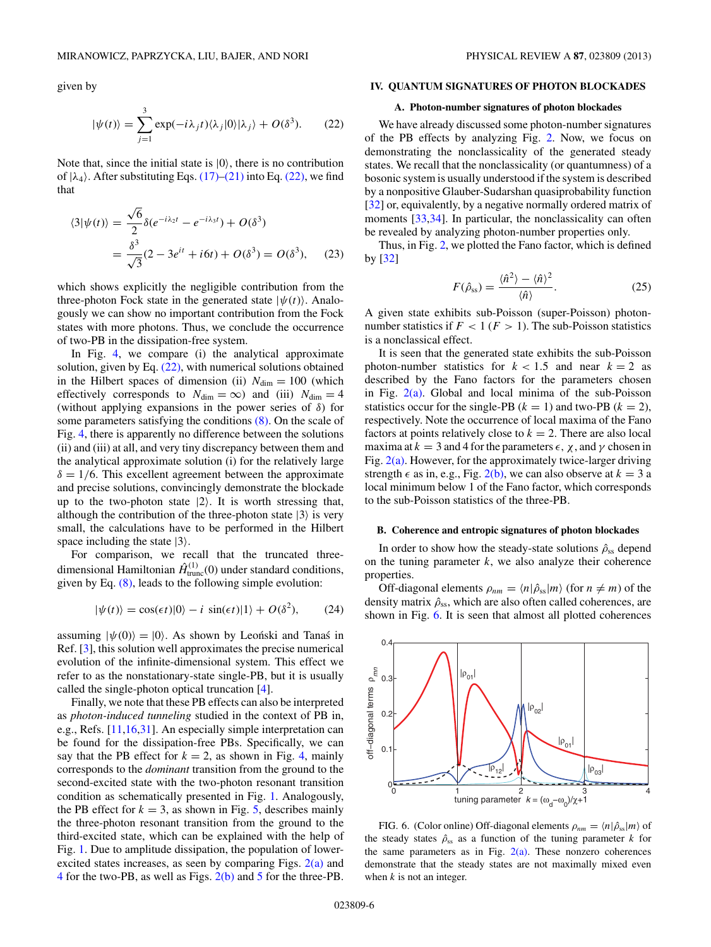<span id="page-5-0"></span>given by

$$
|\psi(t)\rangle = \sum_{j=1}^{3} \exp(-i\lambda_j t) \langle \lambda_j | 0 \rangle |\lambda_j\rangle + O(\delta^3). \tag{22}
$$

Note that, since the initial state is  $|0\rangle$ , there is no contribution of  $|\lambda_4\rangle$ . After substituting Eqs. [\(17\)–\(21\)](#page-4-0) into Eq. (22), we find that

$$
\langle 3|\psi(t)\rangle = \frac{\sqrt{6}}{2}\delta(e^{-i\lambda_2 t} - e^{-i\lambda_3 t}) + O(\delta^3)
$$
  
=  $\frac{\delta^3}{\sqrt{3}}(2 - 3e^{it} + i6t) + O(\delta^3) = O(\delta^3)$ , (23)

which shows explicitly the negligible contribution from the three-photon Fock state in the generated state  $|\psi(t)\rangle$ . Analogously we can show no important contribution from the Fock states with more photons. Thus, we conclude the occurrence of two-PB in the dissipation-free system.

In Fig. [4,](#page-4-0) we compare (i) the analytical approximate solution, given by Eq. (22), with numerical solutions obtained in the Hilbert spaces of dimension (ii)  $N_{\text{dim}} = 100$  (which effectively corresponds to  $N_{\text{dim}} = \infty$ ) and (iii)  $N_{\text{dim}} = 4$ (without applying expansions in the power series of *δ*) for some parameters satisfying the conditions [\(8\).](#page-2-0) On the scale of Fig. [4,](#page-4-0) there is apparently no difference between the solutions (ii) and (iii) at all, and very tiny discrepancy between them and the analytical approximate solution (i) for the relatively large  $\delta = 1/6$ . This excellent agreement between the approximate and precise solutions, convincingly demonstrate the blockade up to the two-photon state  $|2\rangle$ . It is worth stressing that, although the contribution of the three-photon state  $|3\rangle$  is very small, the calculations have to be performed in the Hilbert space including the state  $|3\rangle$ .

For comparison, we recall that the truncated threedimensional Hamiltonian  $\hat{H}^{(1)}_{\text{trunc}}(0)$  under standard conditions, given by Eq.  $(8)$ , leads to the following simple evolution:

$$
|\psi(t)\rangle = \cos(\epsilon t)|0\rangle - i\,\sin(\epsilon t)|1\rangle + O(\delta^2),\qquad(24)
$$

assuming  $|\psi(0)\rangle=|0\rangle$ . As shown by Leonski and Tanas in Ref. [\[3\]](#page-8-0), this solution well approximates the precise numerical evolution of the infinite-dimensional system. This effect we refer to as the nonstationary-state single-PB, but it is usually called the single-photon optical truncation [\[4\]](#page-9-0).

Finally, we note that these PB effects can also be interpreted as *photon-induced tunneling* studied in the context of PB in, e.g., Refs. [\[11,16,31\]](#page-9-0). An especially simple interpretation can be found for the dissipation-free PBs. Specifically, we can say that the PB effect for  $k = 2$ , as shown in Fig. [4,](#page-4-0) mainly corresponds to the *dominant* transition from the ground to the second-excited state with the two-photon resonant transition condition as schematically presented in Fig. [1.](#page-2-0) Analogously, the PB effect for  $k = 3$ , as shown in Fig. [5,](#page-4-0) describes mainly the three-photon resonant transition from the ground to the third-excited state, which can be explained with the help of Fig. [1.](#page-2-0) Due to amplitude dissipation, the population of lowerexcited states increases, as seen by comparing Figs. [2\(a\)](#page-2-0) and [4](#page-4-0) for the two-PB, as well as Figs. [2\(b\)](#page-2-0) and [5](#page-4-0) for the three-PB.

## **IV. QUANTUM SIGNATURES OF PHOTON BLOCKADES**

# **A. Photon-number signatures of photon blockades**

We have already discussed some photon-number signatures of the PB effects by analyzing Fig. [2.](#page-2-0) Now, we focus on demonstrating the nonclassicality of the generated steady states. We recall that the nonclassicality (or quantumness) of a bosonic system is usually understood if the system is described by a nonpositive Glauber-Sudarshan quasiprobability function [\[32\]](#page-9-0) or, equivalently, by a negative normally ordered matrix of moments [\[33,34\]](#page-9-0). In particular, the nonclassicality can often be revealed by analyzing photon-number properties only.

Thus, in Fig. [2,](#page-2-0) we plotted the Fano factor, which is defined by [\[32\]](#page-9-0)

$$
F(\hat{\rho}_{ss}) = \frac{\langle \hat{n}^2 \rangle - \langle \hat{n} \rangle^2}{\langle \hat{n} \rangle}.
$$
 (25)

A given state exhibits sub-Poisson (super-Poisson) photonnumber statistics if  $F < 1$  ( $F > 1$ ). The sub-Poisson statistics is a nonclassical effect.

It is seen that the generated state exhibits the sub-Poisson photon-number statistics for  $k < 1.5$  and near  $k = 2$  as described by the Fano factors for the parameters chosen in Fig.  $2(a)$ . Global and local minima of the sub-Poisson statistics occur for the single-PB  $(k = 1)$  and two-PB  $(k = 2)$ , respectively. Note the occurrence of local maxima of the Fano factors at points relatively close to  $k = 2$ . There are also local maxima at  $k = 3$  and 4 for the parameters  $\epsilon$ ,  $\chi$ , and  $\gamma$  chosen in Fig.  $2(a)$ . However, for the approximately twice-larger driving strength  $\epsilon$  as in, e.g., Fig. [2\(b\),](#page-2-0) we can also observe at  $k = 3$  a local minimum below 1 of the Fano factor, which corresponds to the sub-Poisson statistics of the three-PB.

#### **B. Coherence and entropic signatures of photon blockades**

In order to show how the steady-state solutions  $\hat{\rho}_{ss}$  depend on the tuning parameter  $k$ , we also analyze their coherence properties.

Off-diagonal elements  $\rho_{nm} = \langle n | \hat{\rho}_{ss} | m \rangle$  (for  $n \neq m$ ) of the density matrix  $\hat{\rho}_{ss}$ , which are also often called coherences, are shown in Fig. 6. It is seen that almost all plotted coherences



FIG. 6. (Color online) Off-diagonal elements  $\rho_{nm} = \langle n | \hat{\rho}_{ss} | m \rangle$  of the steady states  $\hat{\rho}_{ss}$  as a function of the tuning parameter *k* for the same parameters as in Fig.  $2(a)$ . These nonzero coherences demonstrate that the steady states are not maximally mixed even when *k* is not an integer.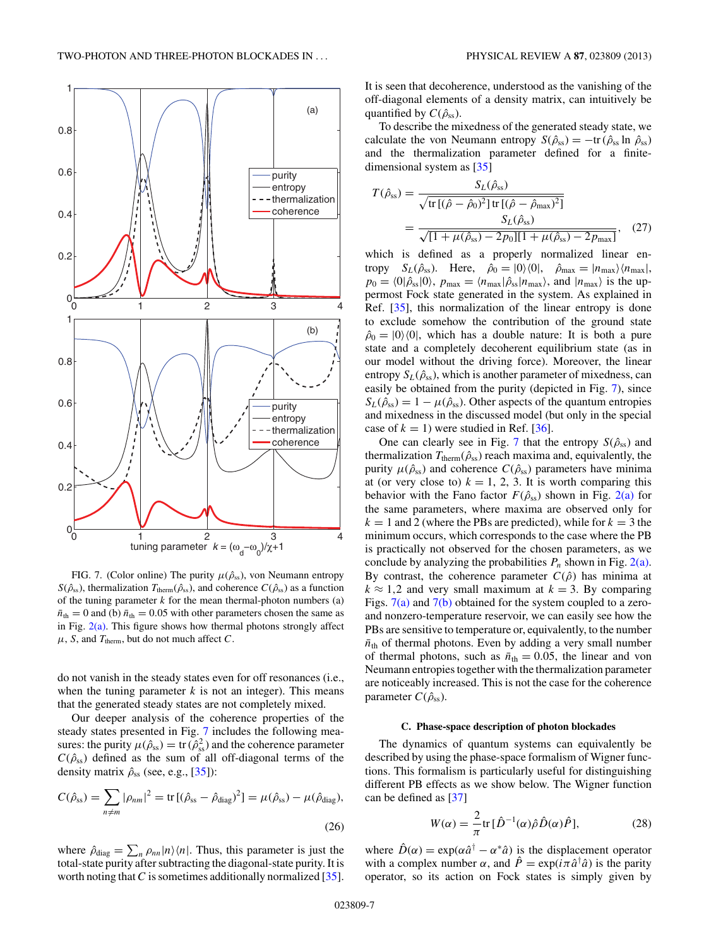<span id="page-6-0"></span>

FIG. 7. (Color online) The purity  $\mu(\hat{\rho}_{ss})$ , von Neumann entropy *S*( $\hat{\rho}_{ss}$ ), thermalization  $T_{therm}(\hat{\rho}_{ss})$ , and coherence  $C(\hat{\rho}_{ss})$  as a function of the tuning parameter  $k$  for the mean thermal-photon numbers  $(a)$  $\bar{n}_{\text{th}} = 0$  and (b)  $\bar{n}_{\text{th}} = 0.05$  with other parameters chosen the same as in Fig.  $2(a)$ . This figure shows how thermal photons strongly affect  $\mu$ , *S*, and  $T_{\text{therm}}$ , but do not much affect *C*.

do not vanish in the steady states even for off resonances (i.e., when the tuning parameter  $k$  is not an integer). This means that the generated steady states are not completely mixed.

Our deeper analysis of the coherence properties of the steady states presented in Fig. 7 includes the following measures: the purity  $\mu(\hat{\rho}_{ss}) = \text{tr}(\hat{\rho}_{ss}^2)$  and the coherence parameter  $C(\hat{\rho}_{ss})$  defined as the sum of all off-diagonal terms of the density matrix  $\hat{\rho}_{ss}$  (see, e.g., [\[35\]](#page-9-0)):

$$
C(\hat{\rho}_{ss}) = \sum_{n \neq m} |\rho_{nm}|^2 = \text{tr} \left[ (\hat{\rho}_{ss} - \hat{\rho}_{\text{diag}})^2 \right] = \mu(\hat{\rho}_{ss}) - \mu(\hat{\rho}_{\text{diag}}),
$$
\n(26)

where  $\hat{\rho}_{\text{diag}} = \sum_{n} \rho_{nn} |n\rangle\langle n|$ . Thus, this parameter is just the total-state purity after subtracting the diagonal-state purity. It is worth noting that*C* is sometimes additionally normalized [\[35\]](#page-9-0).

It is seen that decoherence, understood as the vanishing of the off-diagonal elements of a density matrix, can intuitively be quantified by  $C(\hat{\rho}_{ss})$ .

To describe the mixedness of the generated steady state, we calculate the von Neumann entropy  $S(\hat{\rho}_{ss}) = -\text{tr}(\hat{\rho}_{ss} \ln \hat{\rho}_{ss})$ and the thermalization parameter defined for a finitedimensional system as [\[35\]](#page-9-0)

$$
T(\hat{\rho}_{ss}) = \frac{S_L(\hat{\rho}_{ss})}{\sqrt{\text{tr}[(\hat{\rho} - \hat{\rho}_0)^2] \text{tr}[(\hat{\rho} - \hat{\rho}_{max})^2]}}
$$
  
= 
$$
\frac{S_L(\hat{\rho}_{ss})}{\sqrt{[1 + \mu(\hat{\rho}_{ss}) - 2p_0][1 + \mu(\hat{\rho}_{ss}) - 2p_{max}]}}
$$
, (27)

which is defined as a properly normalized linear entropy  $S_L(\hat{\rho}_{ss})$ . Here,  $\hat{\rho}_0 = |0\rangle\langle 0|$ ,  $\hat{\rho}_{max} = |n_{max}\rangle\langle n_{max}|$ ,  $p_0 = \langle 0|\hat{\rho}_{ss}|0\rangle$ ,  $p_{max} = \langle n_{max}|\hat{\rho}_{ss}|n_{max}\rangle$ , and  $|n_{max}\rangle$  is the uppermost Fock state generated in the system. As explained in Ref. [\[35\]](#page-9-0), this normalization of the linear entropy is done to exclude somehow the contribution of the ground state  $\hat{\rho}_0 = |0\rangle\langle 0|$ , which has a double nature: It is both a pure state and a completely decoherent equilibrium state (as in our model without the driving force). Moreover, the linear entropy  $S_L(\hat{\rho}_{ss})$ , which is another parameter of mixedness, can easily be obtained from the purity (depicted in Fig. 7), since  $S_L(\hat{\rho}_{ss}) = 1 - \mu(\hat{\rho}_{ss})$ . Other aspects of the quantum entropies and mixedness in the discussed model (but only in the special case of  $k = 1$ ) were studied in Ref. [\[36\]](#page-9-0).

One can clearly see in Fig. 7 that the entropy  $S(\hat{\rho}_{ss})$  and thermalization  $T_{\text{therm}}(\hat{\rho}_{ss})$  reach maxima and, equivalently, the purity  $\mu(\hat{\rho}_{ss})$  and coherence  $C(\hat{\rho}_{ss})$  parameters have minima at (or very close to)  $k = 1, 2, 3$ . It is worth comparing this behavior with the Fano factor  $F(\hat{\rho}_{ss})$  shown in Fig. [2\(a\)](#page-2-0) for the same parameters, where maxima are observed only for  $k = 1$  and 2 (where the PBs are predicted), while for  $k = 3$  the minimum occurs, which corresponds to the case where the PB is practically not observed for the chosen parameters, as we conclude by analyzing the probabilities  $P_n$  shown in Fig. [2\(a\).](#page-2-0) By contrast, the coherence parameter  $C(\hat{\rho})$  has minima at  $k \approx 1,2$  and very small maximum at  $k = 3$ . By comparing Figs. 7(a) and 7(b) obtained for the system coupled to a zeroand nonzero-temperature reservoir, we can easily see how the PBs are sensitive to temperature or, equivalently, to the number  $\bar{n}_{\text{th}}$  of thermal photons. Even by adding a very small number of thermal photons, such as  $\bar{n}_{\text{th}} = 0.05$ , the linear and von Neumann entropies together with the thermalization parameter are noticeably increased. This is not the case for the coherence parameter  $C(\hat{\rho}_{ss})$ .

# **C. Phase-space description of photon blockades**

The dynamics of quantum systems can equivalently be described by using the phase-space formalism of Wigner functions. This formalism is particularly useful for distinguishing different PB effects as we show below. The Wigner function can be defined as [\[37\]](#page-9-0)

$$
W(\alpha) = \frac{2}{\pi} \text{tr} \left[ \hat{D}^{-1}(\alpha) \hat{\rho} \hat{D}(\alpha) \hat{P} \right],\tag{28}
$$

where  $\hat{D}(\alpha) = \exp(\alpha \hat{a}^{\dagger} - \alpha^* \hat{a})$  is the displacement operator with a complex number  $\alpha$ , and  $\hat{P} = \exp(i\pi \hat{a}^\dagger \hat{a})$  is the parity operator, so its action on Fock states is simply given by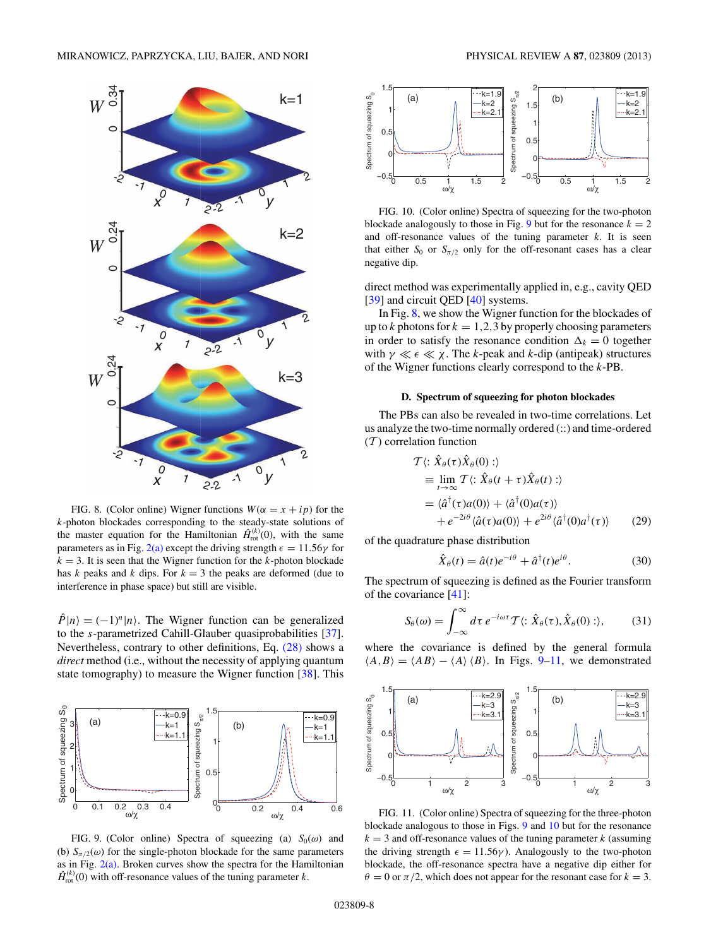<span id="page-7-0"></span>

FIG. 8. (Color online) Wigner functions  $W(\alpha = x + ip)$  for the *k*-photon blockades corresponding to the steady-state solutions of the master equation for the Hamiltonian  $\hat{H}_{\text{rot}}^{(k)}(0)$ , with the same parameters as in Fig. [2\(a\)](#page-2-0) except the driving strength  $\epsilon = 11.56\gamma$  for  $k = 3$ . It is seen that the Wigner function for the *k*-photon blockade has *k* peaks and *k* dips. For  $k = 3$  the peaks are deformed (due to interference in phase space) but still are visible.

 $\hat{P}|n\rangle = (-1)^n |n\rangle$ . The Wigner function can be generalized to the *s*-parametrized Cahill-Glauber quasiprobabilities [\[37\]](#page-9-0). Nevertheless, contrary to other definitions, Eq. [\(28\)](#page-6-0) shows a *direct* method (i.e., without the necessity of applying quantum state tomography) to measure the Wigner function [\[38\]](#page-9-0). This



FIG. 9. (Color online) Spectra of squeezing (a)  $S_0(\omega)$  and (b)  $S_{\pi/2}(\omega)$  for the single-photon blockade for the same parameters as in Fig.  $2(a)$ . Broken curves show the spectra for the Hamiltonian  $\hat{H}_{\text{rot}}^{(k)}(0)$  with off-resonance values of the tuning parameter *k*.



FIG. 10. (Color online) Spectra of squeezing for the two-photon blockade analogously to those in Fig. 9 but for the resonance  $k = 2$ and off-resonance values of the tuning parameter  $k$ . It is seen that either  $S_0$  or  $S_{\pi/2}$  only for the off-resonant cases has a clear negative dip.

direct method was experimentally applied in, e.g., cavity QED [\[39\]](#page-9-0) and circuit QED [\[40\]](#page-9-0) systems.

In Fig. 8, we show the Wigner function for the blockades of up to *k* photons for  $k = 1,2,3$  by properly choosing parameters in order to satisfy the resonance condition  $\Delta_k = 0$  together with  $γ \ll \epsilon \ll χ$ . The *k*-peak and *k*-dip (antipeak) structures of the Wigner functions clearly correspond to the *k*-PB.

## **D. Spectrum of squeezing for photon blockades**

The PBs can also be revealed in two-time correlations. Let us analyze the two-time normally ordered (::) and time-ordered  $(T)$  correlation function

$$
\mathcal{T}\langle : \hat{X}_{\theta}(\tau) \hat{X}_{\theta}(0) : \rangle \n= \lim_{t \to \infty} \mathcal{T}\langle : \hat{X}_{\theta}(t + \tau) \hat{X}_{\theta}(t) : \rangle \n= \langle \hat{a}^{\dagger}(\tau) a(0) \rangle + \langle \hat{a}^{\dagger}(0) a(\tau) \rangle \n+ e^{-2i\theta} \langle \hat{a}(\tau) a(0) \rangle + e^{2i\theta} \langle \hat{a}^{\dagger}(0) a^{\dagger}(\tau) \rangle
$$
\n(29)

of the quadrature phase distribution

$$
\hat{X}_{\theta}(t) = \hat{a}(t)e^{-i\theta} + \hat{a}^{\dagger}(t)e^{i\theta}.
$$
 (30)

The spectrum of squeezing is defined as the Fourier transform of the covariance [\[41\]](#page-9-0):

$$
S_{\theta}(\omega) = \int_{-\infty}^{\infty} d\tau \ e^{-i\omega\tau} \mathcal{T} \langle : \hat{X}_{\theta}(\tau), \hat{X}_{\theta}(0) : \rangle, \tag{31}
$$

where the covariance is defined by the general formula  $\langle A,B \rangle = \langle AB \rangle - \langle A \rangle \langle B \rangle$ . In Figs. 9–11, we demonstrated



FIG. 11. (Color online) Spectra of squeezing for the three-photon blockade analogous to those in Figs. 9 and 10 but for the resonance  $k = 3$  and off-resonance values of the tuning parameter  $k$  (assuming the driving strength  $\epsilon = 11.56\gamma$ ). Analogously to the two-photon blockade, the off-resonance spectra have a negative dip either for  $\theta = 0$  or  $\pi/2$ , which does not appear for the resonant case for  $k = 3$ .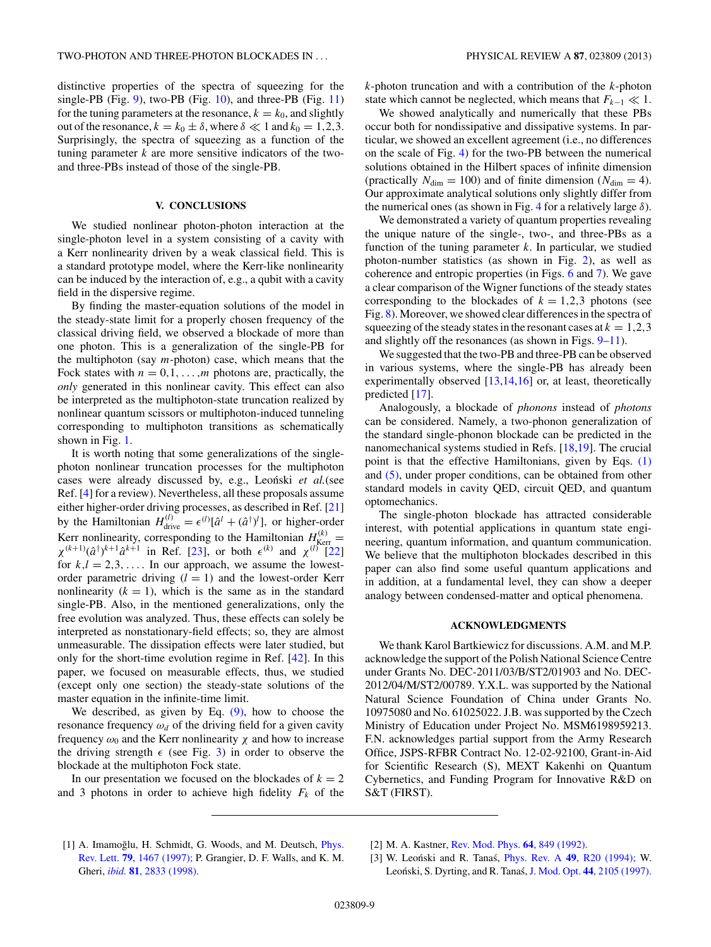<span id="page-8-0"></span>distinctive properties of the spectra of squeezing for the single-PB (Fig. [9\)](#page-7-0), two-PB (Fig. [10\)](#page-7-0), and three-PB (Fig. [11\)](#page-7-0) for the tuning parameters at the resonance,  $k = k_0$ , and slightly out of the resonance,  $k = k_0 \pm \delta$ , where  $\delta \ll 1$  and  $k_0 = 1, 2, 3$ . Surprisingly, the spectra of squeezing as a function of the tuning parameter *k* are more sensitive indicators of the twoand three-PBs instead of those of the single-PB.

# **V. CONCLUSIONS**

We studied nonlinear photon-photon interaction at the single-photon level in a system consisting of a cavity with a Kerr nonlinearity driven by a weak classical field. This is a standard prototype model, where the Kerr-like nonlinearity can be induced by the interaction of, e.g., a qubit with a cavity field in the dispersive regime.

By finding the master-equation solutions of the model in the steady-state limit for a properly chosen frequency of the classical driving field, we observed a blockade of more than one photon. This is a generalization of the single-PB for the multiphoton (say *m*-photon) case, which means that the Fock states with  $n = 0, 1, \ldots, m$  photons are, practically, the *only* generated in this nonlinear cavity. This effect can also be interpreted as the multiphoton-state truncation realized by nonlinear quantum scissors or multiphoton-induced tunneling corresponding to multiphoton transitions as schematically shown in Fig. [1.](#page-2-0)

It is worth noting that some generalizations of the singlephoton nonlinear truncation processes for the multiphoton cases were already discussed by, e.g., Leoński et al.(see Ref. [\[4\]](#page-9-0) for a review). Nevertheless, all these proposals assume either higher-order driving processes, as described in Ref. [\[21\]](#page-9-0) by the Hamiltonian  $H_{\text{drive}}^{(l)} = \epsilon^{(l)}[\hat{a}^l + (\hat{a}^\dagger)^l]$ , or higher-order Kerr nonlinearity, corresponding to the Hamiltonian  $H_{\text{Kerr}}^{(k)} =$  $\chi^{(k+1)}(\hat{a}^{\dagger})^{k+1}\hat{a}^{k+1}$  in Ref. [\[23\]](#page-9-0), or both  $\epsilon^{(k)}$  and  $\chi^{(l)}$  [\[22\]](#page-9-0) for  $k, l = 2, 3, \ldots$ . In our approach, we assume the lowestorder parametric driving  $(l = 1)$  and the lowest-order Kerr nonlinearity  $(k = 1)$ , which is the same as in the standard single-PB. Also, in the mentioned generalizations, only the free evolution was analyzed. Thus, these effects can solely be interpreted as nonstationary-field effects; so, they are almost unmeasurable. The dissipation effects were later studied, but only for the short-time evolution regime in Ref. [\[42\]](#page-9-0). In this paper, we focused on measurable effects, thus, we studied (except only one section) the steady-state solutions of the master equation in the infinite-time limit.

We described, as given by Eq.  $(9)$ , how to choose the resonance frequency  $\omega_d$  of the driving field for a given cavity frequency *ω*<sup>0</sup> and the Kerr nonlinearity *χ* and how to increase the driving strength  $\epsilon$  (see Fig. [3\)](#page-3-0) in order to observe the blockade at the multiphoton Fock state.

In our presentation we focused on the blockades of  $k = 2$ and 3 photons in order to achieve high fidelity  $F_k$  of the *k*-photon truncation and with a contribution of the *k*-photon state which cannot be neglected, which means that  $F_{k-1} \ll 1$ .

We showed analytically and numerically that these PBs occur both for nondissipative and dissipative systems. In particular, we showed an excellent agreement (i.e., no differences on the scale of Fig. [4\)](#page-4-0) for the two-PB between the numerical solutions obtained in the Hilbert spaces of infinite dimension (practically  $N_{\text{dim}} = 100$ ) and of finite dimension ( $N_{\text{dim}} = 4$ ). Our approximate analytical solutions only slightly differ from the numerical ones (as shown in Fig. [4](#page-4-0) for a relatively large *δ*).

We demonstrated a variety of quantum properties revealing the unique nature of the single-, two-, and three-PBs as a function of the tuning parameter *k*. In particular, we studied photon-number statistics (as shown in Fig. [2\)](#page-2-0), as well as coherence and entropic properties (in Figs. [6](#page-5-0) and [7\)](#page-6-0). We gave a clear comparison of the Wigner functions of the steady states corresponding to the blockades of  $k = 1,2,3$  photons (see Fig. [8\)](#page-7-0). Moreover, we showed clear differences in the spectra of squeezing of the steady states in the resonant cases at  $k = 1,2,3$ and slightly off the resonances (as shown in Figs. [9–11\)](#page-7-0).

We suggested that the two-PB and three-PB can be observed in various systems, where the single-PB has already been experimentally observed  $[13,14,16]$  or, at least, theoretically predicted [\[17\]](#page-9-0).

Analogously, a blockade of *phonons* instead of *photons* can be considered. Namely, a two-phonon generalization of the standard single-phonon blockade can be predicted in the nanomechanical systems studied in Refs. [\[18,19\]](#page-9-0). The crucial point is that the effective Hamiltonians, given by Eqs. [\(1\)](#page-1-0) and [\(5\),](#page-1-0) under proper conditions, can be obtained from other standard models in cavity QED, circuit QED, and quantum optomechanics.

The single-photon blockade has attracted considerable interest, with potential applications in quantum state engineering, quantum information, and quantum communication. We believe that the multiphoton blockades described in this paper can also find some useful quantum applications and in addition, at a fundamental level, they can show a deeper analogy between condensed-matter and optical phenomena.

# **ACKNOWLEDGMENTS**

We thank Karol Bartkiewicz for discussions. A.M. and M.P. acknowledge the support of the Polish National Science Centre under Grants No. DEC-2011/03/B/ST2/01903 and No. DEC-2012/04/M/ST2/00789. Y.X.L. was supported by the National Natural Science Foundation of China under Grants No. 10975080 and No. 61025022. J.B. was supported by the Czech Ministry of Education under Project No. MSM6198959213. F.N. acknowledges partial support from the Army Research Office, JSPS-RFBR Contract No. 12-02-92100, Grant-in-Aid for Scientific Research (S), MEXT Kakenhi on Quantum Cybernetics, and Funding Program for Innovative R&D on S&T (FIRST).

- [1] A. Imamoglu, H. Schmidt, G. Woods, and M. Deutsch, *[Phys.](http://dx.doi.org/10.1103/PhysRevLett.79.1467)* Rev. Lett. **79**[, 1467 \(1997\);](http://dx.doi.org/10.1103/PhysRevLett.79.1467) P. Grangier, D. F. Walls, and K. M. Gheri, *ibid.* **81**[, 2833 \(1998\).](http://dx.doi.org/10.1103/PhysRevLett.81.2833)
- [2] M. A. Kastner, [Rev. Mod. Phys.](http://dx.doi.org/10.1103/RevModPhys.64.849) **64**, 849 (1992).
- [3] W. Leoński and R. Tanaś, *Phys. Rev. A* **49**, *R20* (1994); W. Leonski, S. Dyrting, and R. Tanas, J. Mod. Opt. 44[, 2105 \(1997\).](http://dx.doi.org/10.1080/09500349708231872)